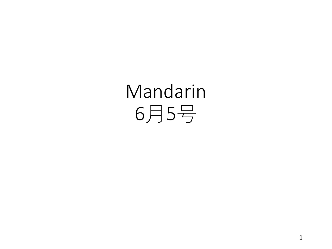# Mandarin 月5号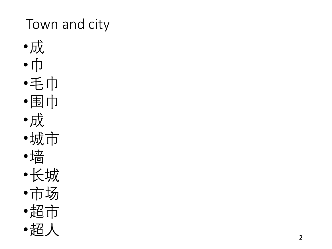## Town and city

- •成•巾•毛巾 •围巾
- •成
- •城市
- •墙
- •长城
- •市场
- •超市
- •超人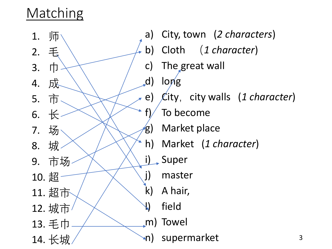#### Matching

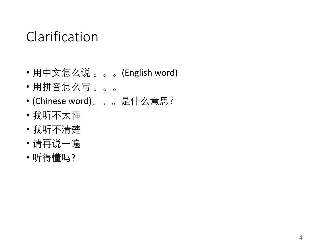#### Clarification

- 用中文怎么说 。。。(English word)
- 用拼音怎么写 。。。
- (Chinese word)。。。是什么意思?
- 我听不太懂
- 我听不清楚
- 请再说一遍
- 听得懂吗?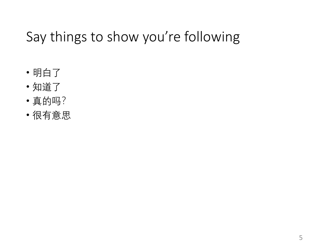### Say things to show you're following

- 明白了
- 知道了
- 真的吗?
- 很有意思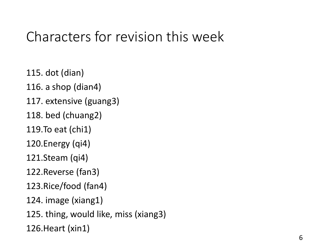#### Characters for revision this week

115. dot (dian)

116. a shop (dian4)

117. extensive (guang3)

118. bed (chuang2)

119.To eat (chi1)

120.Energy (qi4)

121.Steam (qi4)

122.Reverse (fan3)

123.Rice/food (fan4)

124. image (xiang1)

125. thing, would like, miss (xiang3)

126.Heart (xin1)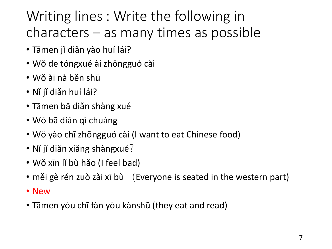## Writing lines : Write the following in characters – as many times as possible

- Tāmen jǐ diǎn yào huí lái?
- Wǒ de tóngxué ài zhōngguó cài
- Wǒ ài nà běn shū
- Nǐ jǐ diǎn huí lái?
- Tāmen bā diǎn shàng xué
- Wǒ bā diǎn qǐ chuáng
- Wǒ yào chī zhōngguó cài (I want to eat Chinese food)
- Nǐ jǐ diǎn xiǎng shàngxué?
- Wǒ xīn lǐ bù hǎo (I feel bad)
- měi gè rén zuò zài xī bù (Everyone is seated in the western part)
- New
- Tāmen yòu chī fàn yòu kànshū (they eat and read)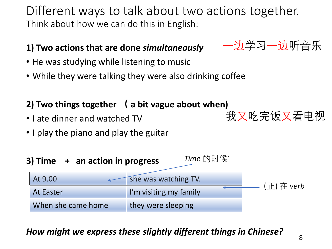Different ways to talk about two actions together. Think about how we can do this in English:

#### **1) Two actions that are done** *simultaneously*

- He was studying while listening to music
- While they were talking they were also drinking coffee

#### **2) Two things together ( a bit vague about when)**

- I ate dinner and watched TV
- I play the piano and play the guitar



#### *How might we express these slightly different things in Chinese?*

一边学习一边听音乐

我又吃完饭又看电视

8